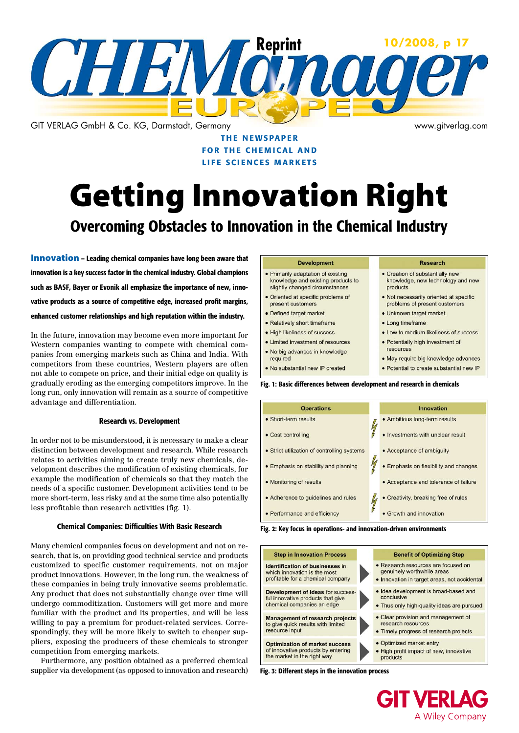

THE NEWSPAPER **FOR THE CHEMICAL AND** life sciences markets

# Getting Innovation Right

## Overcoming Obstacles to Innovation in the Chemical Industry

Innovation – Leading chemical companies have long been aware that innovation is a key success factor in the chemical industry. Global champions such as BASF, Bayer or Evonik all emphasize the importance of new, innovative products as a source of competitive edge, increased profit margins, enhanced customer relationships and high reputation within the industry.

In the future, innovation may become even more important for Western companies wanting to compete with chemical companies from emerging markets such as China and India. With competitors from these countries, Western players are often not able to compete on price, and their initial edge on quality is gradually eroding as the emerging competitors improve. In the long run, only innovation will remain as a source of competitive advantage and differentiation.

#### Research vs. Development

In order not to be misunderstood, it is necessary to make a clear distinction between development and research. While research relates to activities aiming to create truly new chemicals, development describes the modification of existing chemicals, for example the modification of chemicals so that they match the needs of a specific customer. Development activities tend to be more short-term, less risky and at the same time also potentially less profitable than research activities (fig. 1).

#### Chemical Companies: Difficulties With Basic Research

Many chemical companies focus on development and not on research, that is, on providing good technical service and products customized to specific customer requirements, not on major product innovations. However, in the long run, the weakness of these companies in being truly innovative seems problematic. Any product that does not substantially change over time will undergo commoditization. Customers will get more and more familiar with the product and its properties, and will be less willing to pay a premium for product-related services. Correspondingly, they will be more likely to switch to cheaper suppliers, exposing the producers of these chemicals to stronger competition from emerging markets.

Furthermore, any position obtained as a preferred chemical supplier via development (as opposed to innovation and research)

#### **Development**

- Primarily adaptation of existing knowledge and existing products to slightly changed circumstances
- Oriented at specific problems of
- present customers · Defined target market
- Relatively short timeframe
- · High likeliness of success
- Limited investment of resources
- . No big advances in knowledge
- required
- . No substantial new IP created

#### **Research**

- Creation of substantially new knowledge, new technology and new products
- . Not necessarily oriented at specific problems of present customers
- · Unknown target market
- Long timeframe
- Low to medium likeliness of success
- · Potentially high investment of resources
- · May require big knowledge advances
- · Potential to create substantial new IP

Fig. 1: Basic differences between development and research in chemicals

| <b>Operations</b>                           | Innovation                            |
|---------------------------------------------|---------------------------------------|
| • Short-term results                        | • Ambitious long-term results         |
| • Cost controlling                          | • Investments with unclear result     |
| • Strict utilization of controlling systems | • Acceptance of ambiguity             |
| • Emphasis on stability and planning        | • Emphasis on flexibility and changes |
| • Monitoring of results                     | • Acceptance and tolerance of failure |
| • Adherence to guidelines and rules         | • Creativity, breaking free of rules  |
| • Performance and efficiency                | Growth and innovation                 |

Fig. 2: Key focus in operations- and innovation-driven environments



**GIT VERLAG** A Wiley Company